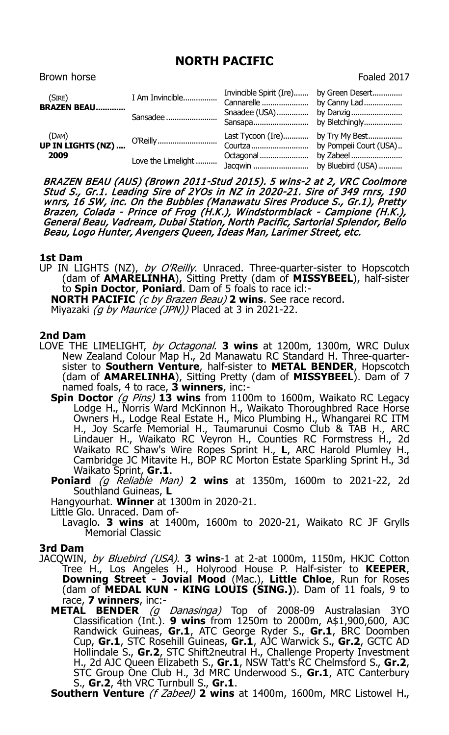## **NORTH PACIFIC**

Brown horse **Foaled 2017** 

| (SIRE)<br><b>BRAZEN BEAU</b>       | I Am Invincible<br>Sansadee    | Invincible Spirit (Ire) by Green Desert     |                        |
|------------------------------------|--------------------------------|---------------------------------------------|------------------------|
| (DAM)<br>UP IN LIGHTS (NZ)<br>2009 | O'Reilly<br>Love the Limelight | Last Tycoon (Ire) by Try My Best<br>Courtza | by Pompeii Court (USA) |

BRAZEN BEAU (AUS) (Brown 2011-Stud 2015). 5 wins-2 at 2, VRC Coolmore Stud S., Gr.1. Leading Sire of 2YOs in NZ in 2020-21. Sire of 349 rnrs, 190 wnrs, 16 SW, inc. On the Bubbles (Manawatu Sires Produce S., Gr.1), Pretty Brazen, Colada - Prince of Frog (H.K.), Windstormblack - Campione (H.K.), General Beau, Vadream, Dubai Station, North Pacific, Sartorial Splendor, Bello Beau, Logo Hunter, Avengers Queen, Ideas Man, Larimer Street, etc.

## **1st Dam**

UP IN LIGHTS (NZ), by O'Reilly. Unraced. Three-quarter-sister to Hopscotch (dam of **AMARELINHA**), Sitting Pretty (dam of **MISSYBEEL**), half-sister to **Spin Doctor**, **Poniard**. Dam of 5 foals to race icl:- **NORTH PACIFIC** (c by Brazen Beau) **2 wins**. See race record.

Miyazaki (q by Maurice (JPN)) Placed at 3 in 2021-22.

## **2nd Dam**

- LOVE THE LIMELIGHT, by Octagonal. **3 wins** at 1200m, 1300m, WRC Dulux New Zealand Colour Map H., 2d Manawatu RC Standard H. Three-quartersister to **Southern Venture**, half-sister to **METAL BENDER**, Hopscotch (dam of **AMARELINHA**), Sitting Pretty (dam of **MISSYBEEL**). Dam of 7
	- named foals, 4 to race, **3 winners**, inc:- **Spin Doctor** (g Pins) **13 wins** from 1100m to 1600m, Waikato RC Legacy Lodge H., Norris Ward McKinnon H., Waikato Thoroughbred Race Horse Owners H., Lodge Real Estate H., Mico Plumbing H., Whangarei RC ITM H., Joy Scarfe Memorial H., Taumarunui Cosmo Club & TAB H., ARC Lindauer H., Waikato RC Veyron H., Counties RC Formstress H., 2d Waikato RC Shaw's Wire Ropes Sprint H., **L**, ARC Harold Plumley H., Cambridge JC Mitavite H., BOP RC Morton Estate Sparkling Sprint H., 3d Waikato Sprint, **Gr.1**.
	- **Poniard** (g Reliable Man) **2 wins** at 1350m, 1600m to 2021-22, 2d Southland Guineas, **L**

Hangyourhat. **Winner** at 1300m in 2020-21.

Little Glo. Unraced. Dam of-

Lavaglo. **3 wins** at 1400m, 1600m to 2020-21, Waikato RC JF Grylls Memorial Classic

## **3rd Dam**

- JACQWIN, by Bluebird (USA). **3 wins**-1 at 2-at 1000m, 1150m, HKJC Cotton Tree H., Los Angeles H., Holyrood House P. Half-sister to **KEEPER**, **Downing Street - Jovial Mood** (Mac.), **Little Chloe**, Run for Roses (dam of **MEDAL KUN - KING LOUIS (SING.)**). Dam of 11 foals, 9 to race, **7 winners**, inc:-
	- **METAL BENDER** (g Danasinga) Top of 2008-09 Australasian 3YO Classification (Int.). **9 wins** from 1250m to 2000m, A\$1,900,600, AJC Randwick Guineas, **Gr.1**, ATC George Ryder S., **Gr.1**, BRC Doomben Cup, **Gr.1**, STC Rosehill Guineas, **Gr.1**, AJC Warwick S., **Gr.2**, GCTC AD Hollindale S., **Gr.2**, STC Shift2neutral H., Challenge Property Investment H., 2d AJC Queen Elizabeth S., **Gr.1**, NSW Tatt's RC Chelmsford S., **Gr.2**, STC Group One Club H., 3d MRC Underwood S., **Gr.1**, ATC Canterbury S., **Gr.2**, 4th VRC Turnbull S., **Gr.1**.

**Southern Venture** (*f Zabeel*) **2 wins** at 1400m, 1600m, MRC Listowel H.,